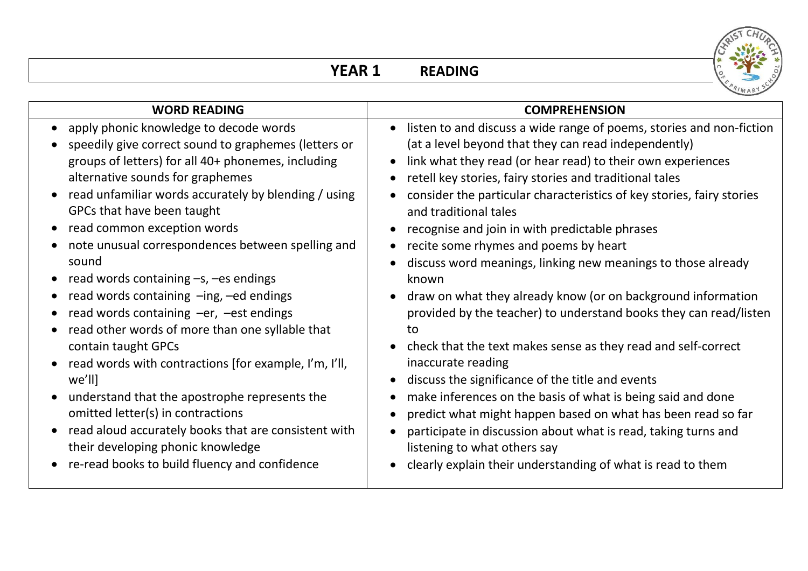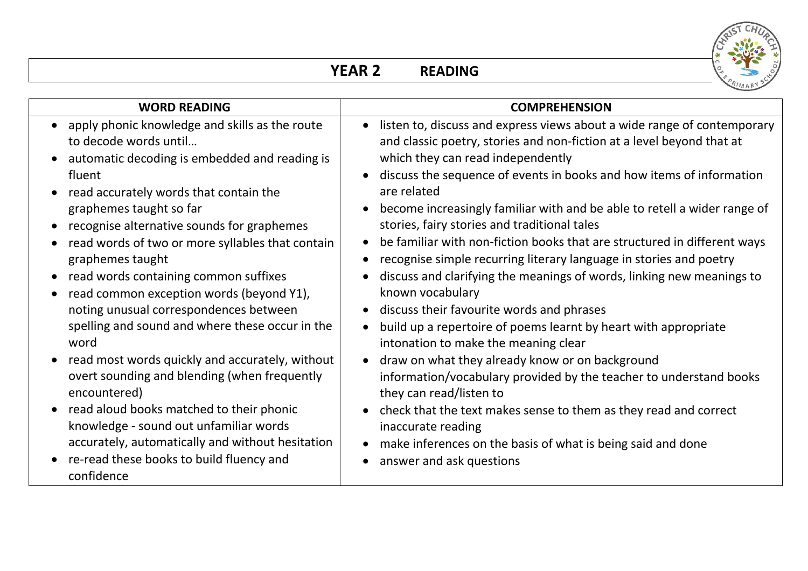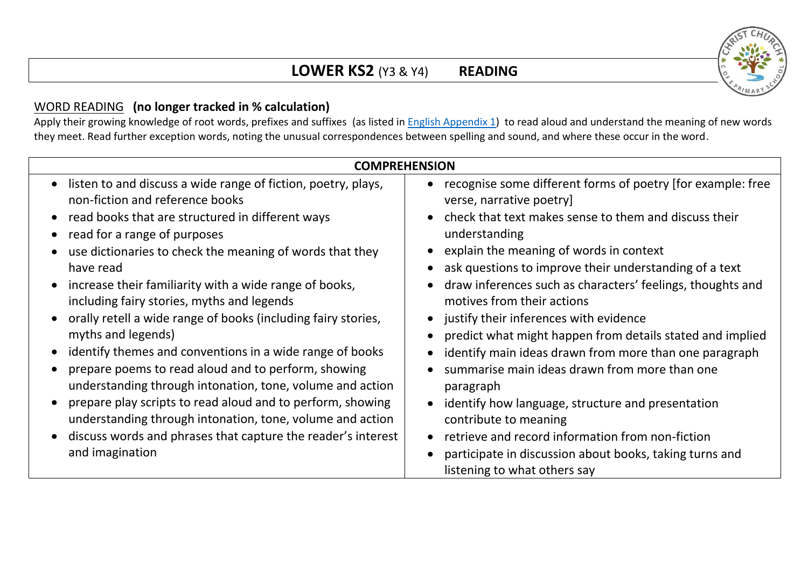## **LOWER KS2** (Y3 & Y4) **READING**

## WORD READING **(no longer tracked in % calculation)**

Apply their growing knowledge of root words, prefixes and suffixes (as listed in **English Appendix 1)** to read aloud and understand the meaning of new words they meet. Read further exception words, noting the unusual correspondences between spelling and sound, and where these occur in the word.